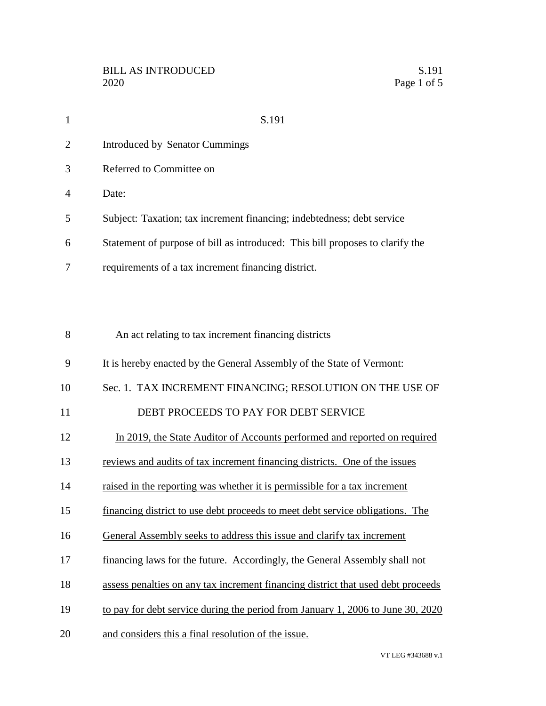| $\mathbf{1}$   | S.191                                                                         |
|----------------|-------------------------------------------------------------------------------|
| 2              | Introduced by Senator Cummings                                                |
| 3              | Referred to Committee on                                                      |
| $\overline{A}$ | Date:                                                                         |
| 5              | Subject: Taxation; tax increment financing; indebtedness; debt service        |
| 6              | Statement of purpose of bill as introduced: This bill proposes to clarify the |
| 7              | requirements of a tax increment financing district.                           |
|                |                                                                               |

| 8  | An act relating to tax increment financing districts                             |
|----|----------------------------------------------------------------------------------|
| 9  | It is hereby enacted by the General Assembly of the State of Vermont:            |
| 10 | Sec. 1. TAX INCREMENT FINANCING; RESOLUTION ON THE USE OF                        |
| 11 | DEBT PROCEEDS TO PAY FOR DEBT SERVICE                                            |
| 12 | In 2019, the State Auditor of Accounts performed and reported on required        |
| 13 | reviews and audits of tax increment financing districts. One of the issues       |
| 14 | raised in the reporting was whether it is permissible for a tax increment        |
| 15 | financing district to use debt proceeds to meet debt service obligations. The    |
| 16 | General Assembly seeks to address this issue and clarify tax increment           |
| 17 | financing laws for the future. Accordingly, the General Assembly shall not       |
| 18 | assess penalties on any tax increment financing district that used debt proceeds |
| 19 | to pay for debt service during the period from January 1, 2006 to June 30, 2020  |
| 20 | and considers this a final resolution of the issue.                              |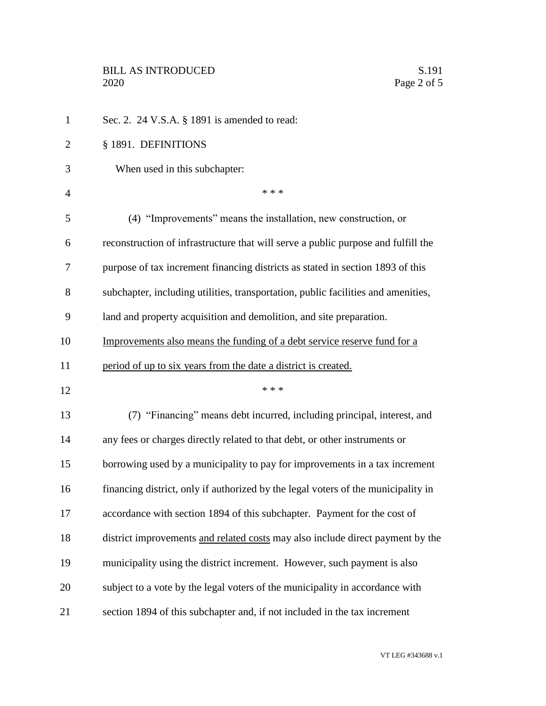| $\mathbf{1}$   | Sec. 2. 24 V.S.A. § 1891 is amended to read:                                      |
|----------------|-----------------------------------------------------------------------------------|
| $\overline{2}$ | § 1891. DEFINITIONS                                                               |
| 3              | When used in this subchapter:                                                     |
| $\overline{4}$ | * * *                                                                             |
| 5              | (4) "Improvements" means the installation, new construction, or                   |
| 6              | reconstruction of infrastructure that will serve a public purpose and fulfill the |
| 7              | purpose of tax increment financing districts as stated in section 1893 of this    |
| 8              | subchapter, including utilities, transportation, public facilities and amenities, |
| 9              | land and property acquisition and demolition, and site preparation.               |
| 10             | Improvements also means the funding of a debt service reserve fund for a          |
| 11             | period of up to six years from the date a district is created.                    |
| 12             | * * *                                                                             |
| 13             | (7) "Financing" means debt incurred, including principal, interest, and           |
| 14             | any fees or charges directly related to that debt, or other instruments or        |
| 15             | borrowing used by a municipality to pay for improvements in a tax increment       |
| 16             | financing district, only if authorized by the legal voters of the municipality in |
| 17             | accordance with section 1894 of this subchapter. Payment for the cost of          |
| 18             | district improvements and related costs may also include direct payment by the    |
| 19             | municipality using the district increment. However, such payment is also          |
| 20             | subject to a vote by the legal voters of the municipality in accordance with      |
| 21             | section 1894 of this subchapter and, if not included in the tax increment         |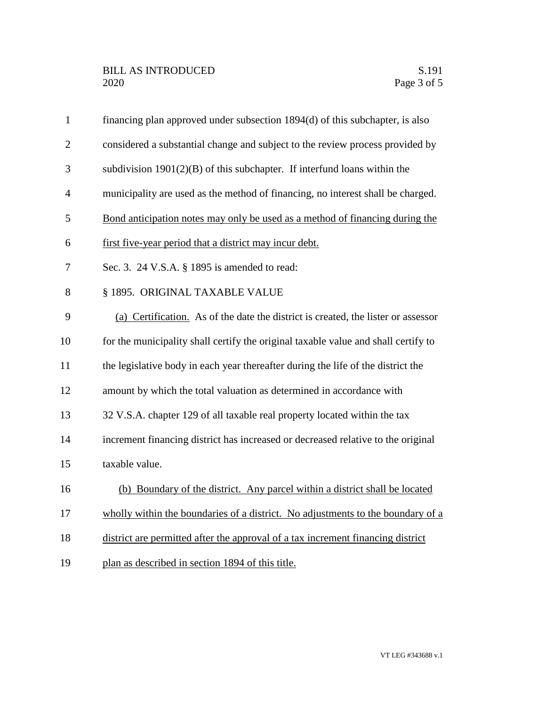| $\mathbf{1}$   | financing plan approved under subsection 1894(d) of this subchapter, is also       |
|----------------|------------------------------------------------------------------------------------|
| $\overline{2}$ | considered a substantial change and subject to the review process provided by      |
| 3              | subdivision $1901(2)(B)$ of this subchapter. If interfund loans within the         |
| $\overline{4}$ | municipality are used as the method of financing, no interest shall be charged.    |
| 5              | Bond anticipation notes may only be used as a method of financing during the       |
| 6              | first five-year period that a district may incur debt.                             |
| 7              | Sec. 3. 24 V.S.A. § 1895 is amended to read:                                       |
| 8              | § 1895. ORIGINAL TAXABLE VALUE                                                     |
| 9              | (a) Certification. As of the date the district is created, the lister or assessor  |
| 10             | for the municipality shall certify the original taxable value and shall certify to |
| 11             | the legislative body in each year thereafter during the life of the district the   |
| 12             | amount by which the total valuation as determined in accordance with               |
| 13             | 32 V.S.A. chapter 129 of all taxable real property located within the tax          |
| 14             | increment financing district has increased or decreased relative to the original   |
| 15             | taxable value.                                                                     |
| 16             | (b) Boundary of the district. Any parcel within a district shall be located        |
| 17             | wholly within the boundaries of a district. No adjustments to the boundary of a    |
| 18             | district are permitted after the approval of a tax increment financing district    |
| 19             | plan as described in section 1894 of this title.                                   |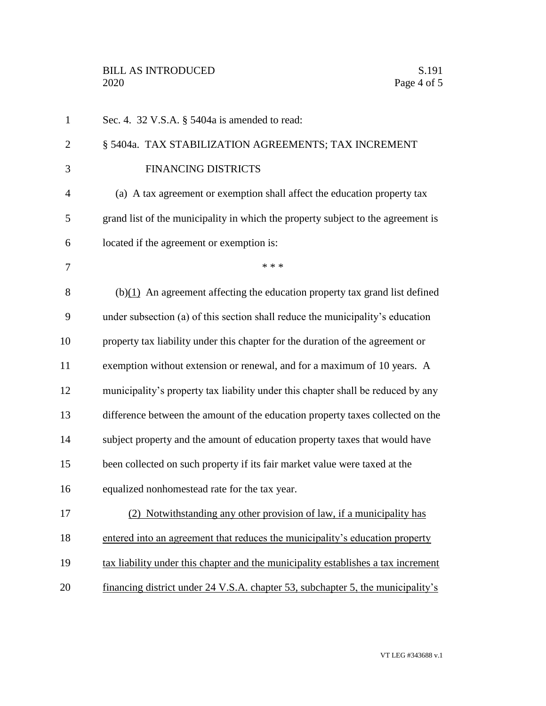| $\mathbf{1}$   | Sec. 4. 32 V.S.A. § 5404a is amended to read:                                     |
|----------------|-----------------------------------------------------------------------------------|
| $\overline{2}$ | § 5404a. TAX STABILIZATION AGREEMENTS; TAX INCREMENT                              |
| 3              | <b>FINANCING DISTRICTS</b>                                                        |
| $\overline{4}$ | (a) A tax agreement or exemption shall affect the education property tax          |
| 5              | grand list of the municipality in which the property subject to the agreement is  |
| 6              | located if the agreement or exemption is:                                         |
| 7              | * * *                                                                             |
| 8              | $(b)(1)$ An agreement affecting the education property tax grand list defined     |
| 9              | under subsection (a) of this section shall reduce the municipality's education    |
| 10             | property tax liability under this chapter for the duration of the agreement or    |
| 11             | exemption without extension or renewal, and for a maximum of 10 years. A          |
| 12             | municipality's property tax liability under this chapter shall be reduced by any  |
| 13             | difference between the amount of the education property taxes collected on the    |
| 14             | subject property and the amount of education property taxes that would have       |
| 15             | been collected on such property if its fair market value were taxed at the        |
| 16             | equalized nonhomestead rate for the tax year.                                     |
| 17             | (2) Notwithstanding any other provision of law, if a municipality has             |
| 18             | entered into an agreement that reduces the municipality's education property      |
| 19             | tax liability under this chapter and the municipality establishes a tax increment |
| 20             | financing district under 24 V.S.A. chapter 53, subchapter 5, the municipality's   |